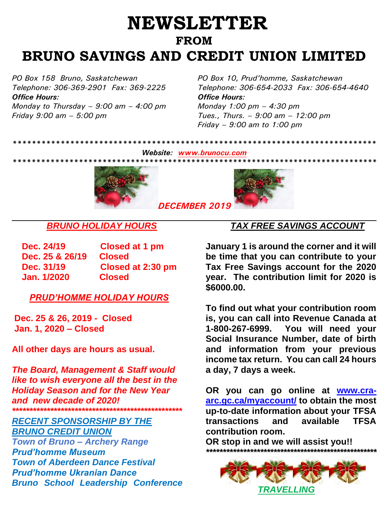## **NEWSLETTER FROM BRUNO SAVINGS AND CREDIT UNION LIMITED**

*Office Hours: Office Hours: Monday to Thursday – 9:00 am – 4:00 pm Friday 9:00 am – 5:00 pm*

*PO Box 158 Bruno, Saskatchewan PO Box 10, Prud'homme, Saskatchewan Telephone: 306-369-2901 Fax: 369-2225 Telephone: 306-654-2033 Fax: 306-654-4640 Monday 1:00 pm – 4:30 pm Tues., Thurs. – 9:00 am – 12:00 pm Friday – 9:00 am to 1:00 pm*

*\*\*\*\*\*\*\*\*\*\*\*\*\*\*\*\*\*\*\*\*\*\*\*\*\*\*\*\*\*\*\*\*\*\*\*\*\*\*\*\*\*\*\*\*\*\*\*\*\*\*\*\*\*\*\*\*\*\*\*\*\*\*\*\*\*\*\*\*\*\*\*\*\*\*\*\**

# *\*\*\*\*\*\*\*\*\*\*\*\*\*\*\*\*\*\*\*\*\*\*\*\*\*\*\*\*\*\*\*\*\*\*\*\*\*\*\*\*\*\*\*\*\*\*\*\*\*\*\*\*\*\*\*\*\*\*\*\*\*\*\*\*\*\*\*\*\*\*\*\*\*\*\*\*\*\**



*[D](https://www.google.ca/url?sa=i&url=https://all-free-download.com/free-photos/free-christmas-images.html&psig=AOvVaw0F-LzK9qu4LDBz_U6Vwgd7&ust=1575736772585000&source=images&cd=vfe&ved=0CAIQjRxqFwoTCIDA-Ye7oeYCFQAAAAAdAAAAABAD)ECEMBER 2019*

*Website: [www.brunocu.com](http://www.brunocu.com/)*

#### *BRUNO HOLIDAY HOURS*

**Dec. 24/19 Closed at 1 pm Dec. 25 & 26/19 Closed Dec. 31/19 Closed at 2:30 pm Jan. 1/2020 Closed** 

*PRUD'HOMME HOLIDAY HOURS*

**Dec. 25 & 26, 2019 - Closed Jan. 1, 2020 – Closed**

**All other days are hours as usual.**

*The Board, Management & Staff would like to wish everyone all the best in the Holiday Season and for the New Year and new decade of 2020! \*\*\*\*\*\*\*\*\*\*\*\*\*\*\*\*\*\*\*\*\*\*\*\*\*\*\*\*\*\*\*\*\*\*\*\*\*\*\*\*\*\*\*\*\*\*\*\*\**

*RECENT SPONSORSHIP BY THE BRUNO CREDIT UNION Town of Bruno – Archery Range Prud'homme Museum Town of Aberdeen Dance Festival Prud'homme Ukranian Dance Bruno School Leadership Conference* 

### *TAX FREE SAVINGS ACCOUNT*

**January 1 is around the corner and it will be time that you can contribute to your Tax Free Savings account for the 2020 year. The contribution limit for 2020 is \$6000.00.**

**To find out what your contribution room is, you can call into Revenue Canada at 1-800-267-6999. You will need your Social Insurance Number, date of birth and information from your previous income tax return. You can call 24 hours a day, 7 days a week.**

**OR you can go online at [www.cra](http://www.cra-arc.gc.ca/myaccount/)[arc.gc.ca/myaccount/](http://www.cra-arc.gc.ca/myaccount/) to obtain the most up-to-date information about your TFSA transactions and available TFSA contribution room.**

**OR stop in and we will assist you!!** *\*\*\*\*\*\*\*\*\*\*\*\*\*\*\*\*\*\*\*\*\*\*\*\*\*\*\*\*\*\*\*\*\*\*\*\*\*\*\*\*\*\*\*\*\*\*\*\*\*\*\**